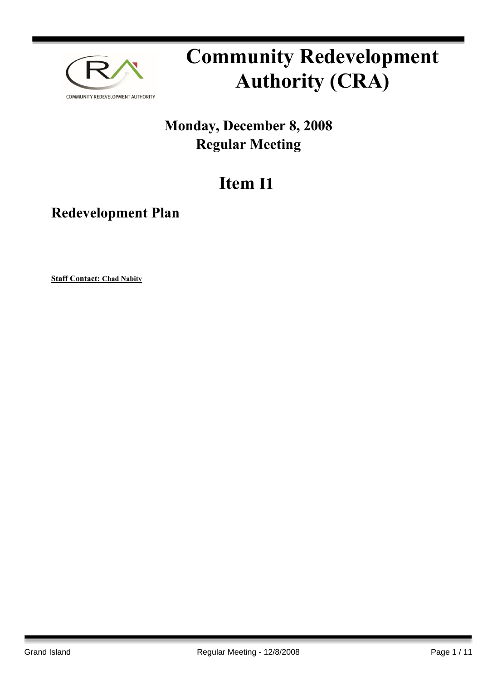

# **Community Redevelopment Authority (CRA)**

# **Monday, December 8, 2008 Regular Meeting**

# **Item I1**

## **Redevelopment Plan**

**Staff Contact: Chad Nabity**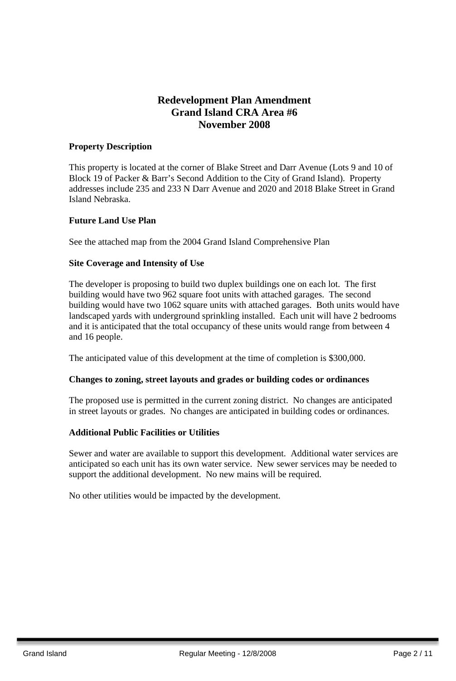### **Redevelopment Plan Amendment Grand Island CRA Area #6 November 2008**

### **Property Description**

This property is located at the corner of Blake Street and Darr Avenue (Lots 9 and 10 of Block 19 of Packer & Barr's Second Addition to the City of Grand Island). Property addresses include 235 and 233 N Darr Avenue and 2020 and 2018 Blake Street in Grand Island Nebraska.

### **Future Land Use Plan**

See the attached map from the 2004 Grand Island Comprehensive Plan

### **Site Coverage and Intensity of Use**

The developer is proposing to build two duplex buildings one on each lot. The first building would have two 962 square foot units with attached garages. The second building would have two 1062 square units with attached garages. Both units would have landscaped yards with underground sprinkling installed. Each unit will have 2 bedrooms and it is anticipated that the total occupancy of these units would range from between 4 and 16 people.

The anticipated value of this development at the time of completion is \$300,000.

### **Changes to zoning, street layouts and grades or building codes or ordinances**

The proposed use is permitted in the current zoning district. No changes are anticipated in street layouts or grades. No changes are anticipated in building codes or ordinances.

### **Additional Public Facilities or Utilities**

Sewer and water are available to support this development. Additional water services are anticipated so each unit has its own water service. New sewer services may be needed to support the additional development. No new mains will be required.

No other utilities would be impacted by the development.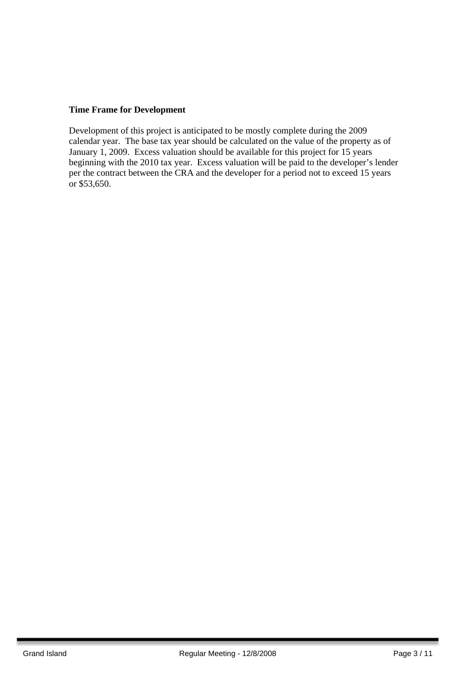### **Time Frame for Development**

Development of this project is anticipated to be mostly complete during the 2009 calendar year. The base tax year should be calculated on the value of the property as of January 1, 2009. Excess valuation should be available for this project for 15 years beginning with the 2010 tax year. Excess valuation will be paid to the developer's lender per the contract between the CRA and the developer for a period not to exceed 15 years or \$53,650.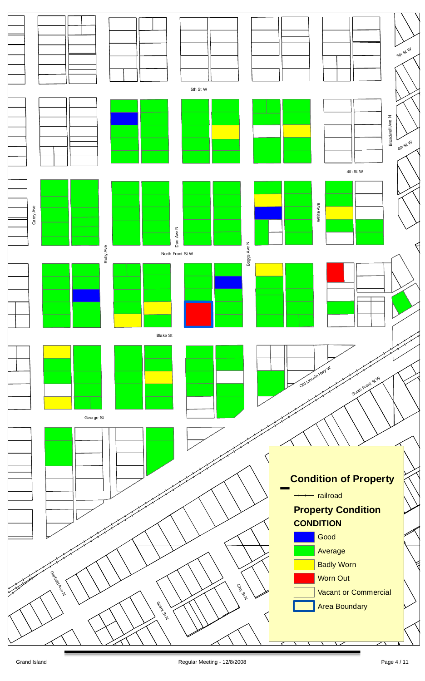|           |           |                 |                  |             |                                       | 5th St W                    |
|-----------|-----------|-----------------|------------------|-------------|---------------------------------------|-----------------------------|
|           |           |                 | 5th St W         |             |                                       |                             |
|           |           |                 |                  |             | 4th St W                              | Broadwell Ave N<br>Ath St W |
| Carey Ave |           |                 | Darr Ave N       |             | White Ave                             | $\in$                       |
|           |           | Ruby Ave        | North Front St W | Boggs Ave N |                                       |                             |
|           | George St | <b>Blake St</b> |                  |             | Old Lincoln Hwy W<br>South Front St W |                             |
|           |           |                 |                  |             | <b>Condition of Property</b>          |                             |

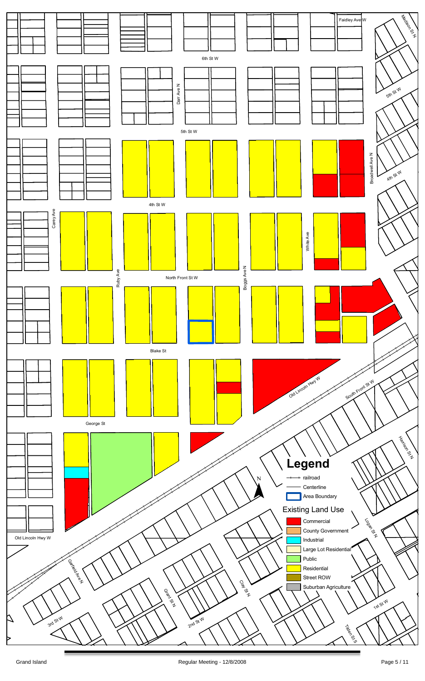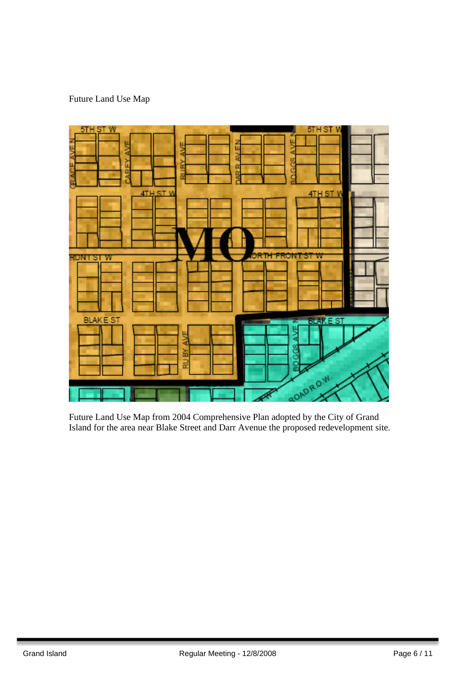Future Land Use Map



Future Land Use Map from 2004 Comprehensive Plan adopted by the City of Grand Island for the area near Blake Street and Darr Avenue the proposed redevelopment site.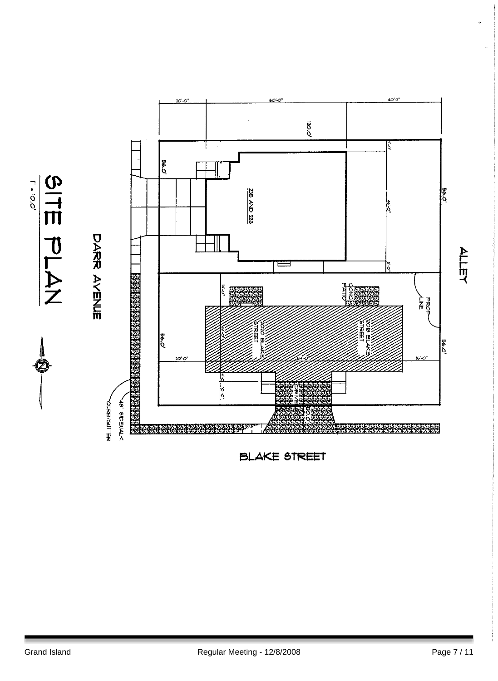

**BLAKE STREET**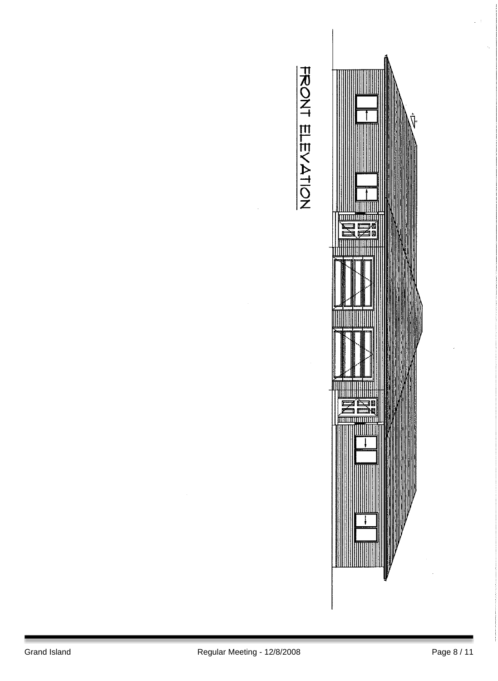

# FRONT ELEVATION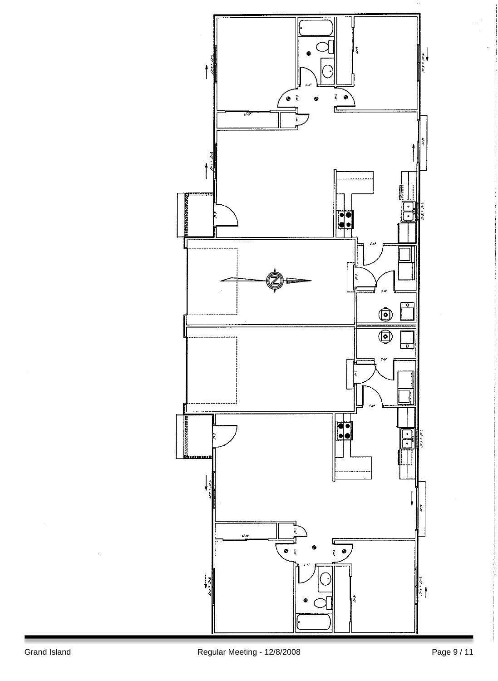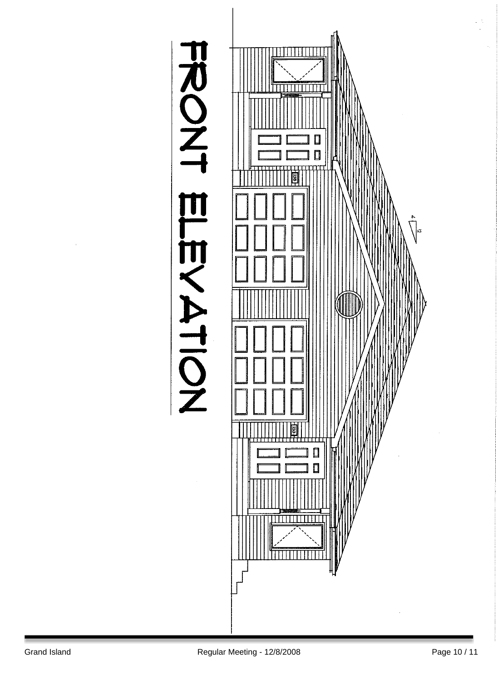

# カクスキ | U Q HOIANT-